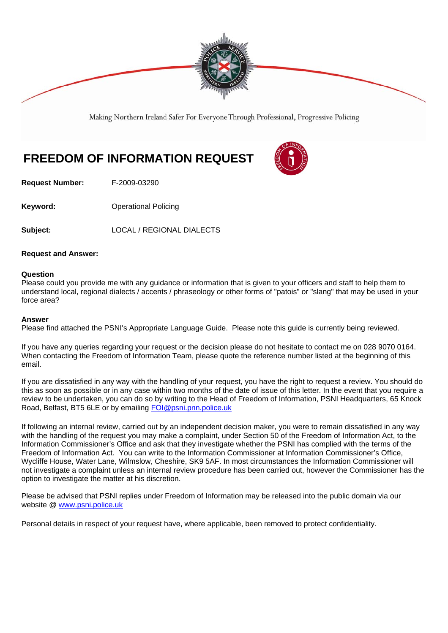

Making Northern Ireland Safer For Everyone Through Professional, Progressive Policing

# **FREEDOM OF INFORMATION REQUEST**

**Request Number:** F-2009-03290

**Keyword: C**Derational Policing

**Subject:** LOCAL / REGIONAL DIALECTS

## **Request and Answer:**

### **Question**

Please could you provide me with any guidance or information that is given to your officers and staff to help them to understand local, regional dialects / accents / phraseology or other forms of "patois" or "slang" that may be used in your force area?

### **Answer**

Please find attached the PSNI's Appropriate Language Guide. Please note this guide is currently being reviewed.

If you have any queries regarding your request or the decision please do not hesitate to contact me on 028 9070 0164. When contacting the Freedom of Information Team, please quote the reference number listed at the beginning of this email.

If you are dissatisfied in any way with the handling of your request, you have the right to request a review. You should do this as soon as possible or in any case within two months of the date of issue of this letter. In the event that you require a review to be undertaken, you can do so by writing to the Head of Freedom of Information, PSNI Headquarters, 65 Knock Road, Belfast, BT5 6LE or by emailing FOI@psni.pnn.police.uk

If following an internal review, carried out by an independent decision maker, you were to remain dissatisfied in any way with the handling of the request you may make a complaint, under Section 50 of the Freedom of Information Act, to the Information Commissioner's Office and ask that they investigate whether the PSNI has complied with the terms of the Freedom of Information Act. You can write to the Information Commissioner at Information Commissioner's Office, Wycliffe House, Water Lane, Wilmslow, Cheshire, SK9 5AF. In most circumstances the Information Commissioner will not investigate a complaint unless an internal review procedure has been carried out, however the Commissioner has the option to investigate the matter at his discretion.

Please be advised that PSNI replies under Freedom of Information may be released into the public domain via our website @ www.psni.police.uk

Personal details in respect of your request have, where applicable, been removed to protect confidentiality.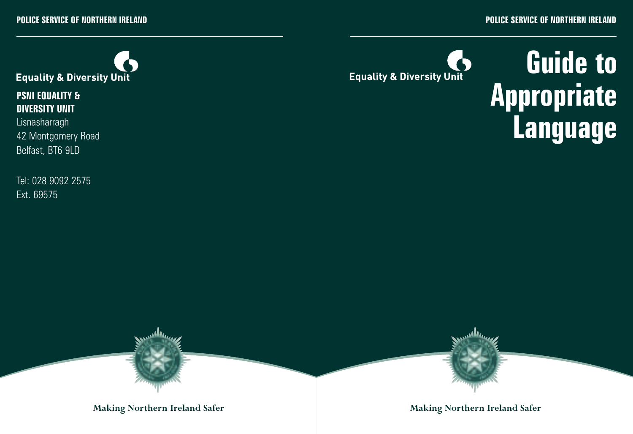

**PSNI EQUALITY & DIVERSITY UNIT** Lisnasharragh 42 Montgomery Road

Belfast, BT6 9LD

Tel: 028 9092 2575 Ext. 69575

O **Equality & Diversity Unit** 

# **Guide to Appropriate Language**



**Making Northern Ireland Safer Making Northern Ireland Safer**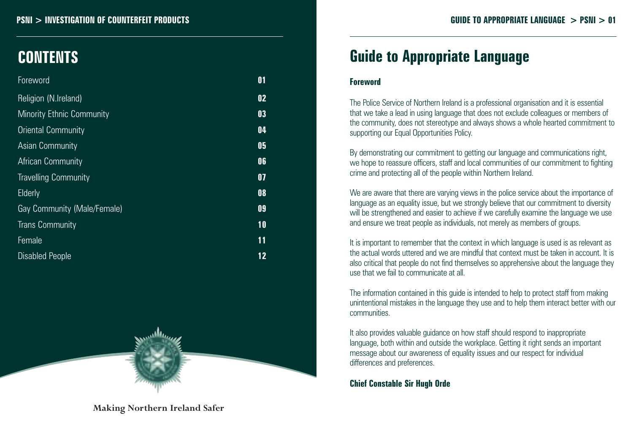#### **PSNI > INVESTIGATION OF COUNTERFEIT PRODUCTS GUIDE TO APPROPRIATE LANGUAGE > PSNI > 01**

## **CONTENTS**

| Foreword                         | $\mathbf{0}$ 1 |
|----------------------------------|----------------|
| Religion (N.Ireland)             | 02             |
| <b>Minority Ethnic Community</b> | 03             |
| <b>Oriental Community</b>        | 04             |
| Asian Community                  | 05             |
| African Community                | 06             |
| <b>Travelling Community</b>      | 07             |
| Elderly                          | 08             |
| Gay Community (Male/Female)      | 09             |
| <b>Trans Community</b>           | 10             |
| Female                           | 11             |
| <b>Disabled People</b>           | 12             |



## **Guide to Appropriate Language**

#### **Foreword**

The Police Service of Northern Ireland is a professional organisation and it is essential that we take a lead in using language that does not exclude colleagues or members of the community, does not stereotype and always shows a whole hearted commitment to supporting our Equal Opportunities Policy.

By demonstrating our commitment to getting our language and communications right, we hope to reassure officers, staff and local communities of our commitment to fighting crime and protecting all of the people within Northern Ireland.

We are aware that there are varying views in the police service about the importance of language as an equality issue, but we strongly believe that our commitment to diversity will be strengthened and easier to achieve if we carefully examine the language we use and ensure we treat people as individuals, not merely as members of groups.

It is important to remember that the context in which language is used is as relevant as the actual words uttered and we are mindful that context must be taken in account. It is also critical that people do not find themselves so apprehensive about the language they use that we fail to communicate at all.

The information contained in this guide is intended to help to protect staff from making unintentional mistakes in the language they use and to help them interact better with our communities.

It also provides valuable guidance on how staff should respond to inappropriate language, both within and outside the workplace. Getting it right sends an important message about our awareness of equality issues and our respect for individual differences and preferences.

**Chief Constable Sir Hugh Orde**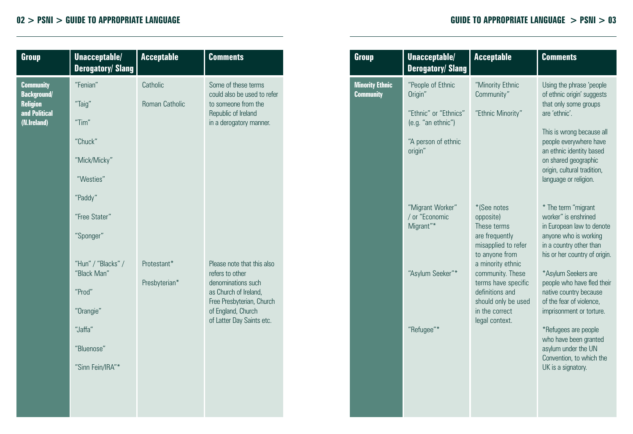| Group                                                                                     | Unacceptable/<br><b>Derogatory/Slang</b>                                                                     | <b>Acceptable</b>            | <b>Comments</b>                                                                                                                                                              |  |
|-------------------------------------------------------------------------------------------|--------------------------------------------------------------------------------------------------------------|------------------------------|------------------------------------------------------------------------------------------------------------------------------------------------------------------------------|--|
| <b>Community</b><br><b>Background/</b><br><b>Religion</b><br>and Political<br>(N.Ireland) | "Fenian"<br>"Taig"<br>"Tim"<br>"Chuck"<br>"Mick/Micky"<br>"Westies"<br>"Paddy"<br>"Free Stater"<br>"Sponger" | Catholic<br>Roman Catholic   | Some of these terms<br>could also be used to refer<br>to someone from the<br>Republic of Ireland<br>in a derogatory manner.                                                  |  |
|                                                                                           | "Hun" / "Blacks" /<br>"Black Man"<br>"Prod"<br>"Orangie"<br>"Jaffa"<br>"Bluenose"<br>"Sinn Fein/IRA"*        | Protestant*<br>Presbyterian* | Please note that this also<br>refers to other<br>denominations such<br>as Church of Ireland,<br>Free Presbyterian, Church<br>of England, Church<br>of Latter Day Saints etc. |  |

| Group                                      | Unacceptable/<br><b>Derogatory/Slang</b>                                                                      | <b>Acceptable</b>                                                                                                                                                                                                                                | <b>Comments</b>                                                                                                                                                                                                                                                                                      |
|--------------------------------------------|---------------------------------------------------------------------------------------------------------------|--------------------------------------------------------------------------------------------------------------------------------------------------------------------------------------------------------------------------------------------------|------------------------------------------------------------------------------------------------------------------------------------------------------------------------------------------------------------------------------------------------------------------------------------------------------|
| <b>Minority Ethnic</b><br><b>Community</b> | "People of Ethnic<br>Origin"<br>"Ethnic" or "Ethnics"<br>(e.g. "an ethnic")<br>"A person of ethnic<br>origin" | "Minority Ethnic<br>Community"<br>"Ethnic Minority"                                                                                                                                                                                              | Using the phrase 'people<br>of ethnic origin' suggests<br>that only some groups<br>are 'ethnic'<br>This is wrong because all<br>people everywhere have<br>an ethnic identity based<br>on shared geographic<br>origin, cultural tradition,<br>language or religion.                                   |
|                                            | "Migrant Worker"<br>/ or "Economic<br>Migrant"*<br>"Asylum Seeker"*                                           | *(See notes<br>opposite)<br>These terms<br>are frequently<br>misapplied to refer<br>to anyone from<br>a minority ethnic<br>community. These<br>terms have specific<br>definitions and<br>should only be used<br>in the correct<br>legal context. | * The term "migrant<br>worker" is enshrined<br>in European law to denote<br>anyone who is working<br>in a country other than<br>his or her country of origin.<br>*Asylum Seekers are<br>people who have fled their<br>native country because<br>of the fear of violence.<br>imprisonment or torture. |
|                                            | "Refugee"*                                                                                                    |                                                                                                                                                                                                                                                  | *Refugees are people<br>who have been granted<br>asylum under the UN<br>Convention, to which the<br>UK is a signatory.                                                                                                                                                                               |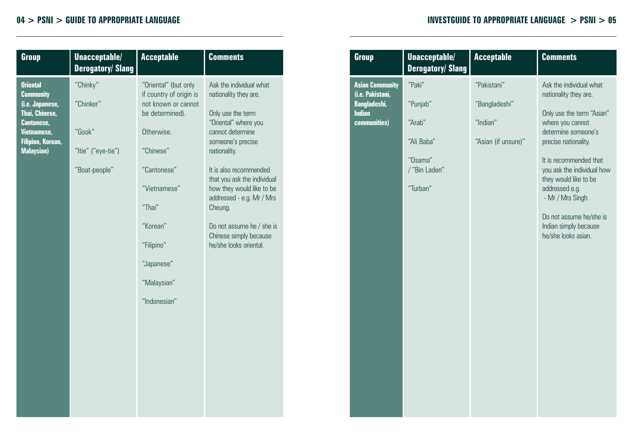**Orient Comm (i.e. Japanese, Thai, Chinese, Canto** 

| Group                                                                                                                                                  | Unacceptable/<br><b>Derogatory/Slang</b>                               | <b>Acceptable</b>                                                                                                                                                                                                                    | <b>Comments</b>                                                                                                                                                                                                                                                                                                                                                       | Group                                                                                       |
|--------------------------------------------------------------------------------------------------------------------------------------------------------|------------------------------------------------------------------------|--------------------------------------------------------------------------------------------------------------------------------------------------------------------------------------------------------------------------------------|-----------------------------------------------------------------------------------------------------------------------------------------------------------------------------------------------------------------------------------------------------------------------------------------------------------------------------------------------------------------------|---------------------------------------------------------------------------------------------|
| <b>Oriental</b><br><b>Community</b><br>(i.e. Japanese,<br>Thai, Chinese,<br><b>Cantonese,</b><br>Vietnamese,<br>Filipino, Korean,<br><b>Malaysian)</b> | "Chinky"<br>"Chinker"<br>"Gook"<br>"Itie" ("eye-tie")<br>"Boat-people" | "Oriental" (but only<br>if country of origin is<br>not known or cannot<br>be determined).<br>Otherwise.<br>"Chinese"<br>"Cantonese"<br>"Vietnamese"<br>"Thai"<br>"Korean"<br>"Filipino"<br>"Japanese"<br>"Malaysian"<br>"Indonesian" | Ask the individual what<br>nationality they are.<br>Only use the term<br>"Oriental" where you<br>cannot determine<br>someone's precise<br>nationality.<br>It is also recommended<br>that you ask the individual<br>how they would like to be<br>addressed - e.g. Mr / Mrs<br>Cheung.<br>Do not assume he / she is<br>Chinese simply because<br>he/she looks oriental. | <b>Asian Community</b><br>(i.e. Pakistani,<br>Bangladeshi,<br><b>Indian</b><br>communities) |

| Group                                                                                       | Unacceptable/<br><b>Derogatory/Slang</b>                               | <b>Acceptable</b>                                               | <b>Comments</b>                                                                                                                                                                                                                   |
|---------------------------------------------------------------------------------------------|------------------------------------------------------------------------|-----------------------------------------------------------------|-----------------------------------------------------------------------------------------------------------------------------------------------------------------------------------------------------------------------------------|
| <b>Asian Community</b><br>(i.e. Pakistani,<br>Bangladeshi,<br><b>Indian</b><br>communities) | "Paki"<br>"Punjab"<br>"Arab"<br>"Ali Baba"<br>"Osama"<br>/ "Bin Laden" | "Pakistani"<br>"Bangladeshi"<br>"Indian"<br>"Asian (if unsure)" | Ask the individual what<br>nationality they are.<br>Only use the term "Asian"<br>where you cannot<br>determine someone's<br>precise nationality.<br>It is recommended that<br>you ask the individual how<br>they would like to be |
|                                                                                             | "Turban"                                                               |                                                                 | addressed e.g.<br>- Mr / Mrs Singh.<br>Do not assume he/she is<br>Indian simply because<br>he/she looks asian.                                                                                                                    |
|                                                                                             |                                                                        |                                                                 |                                                                                                                                                                                                                                   |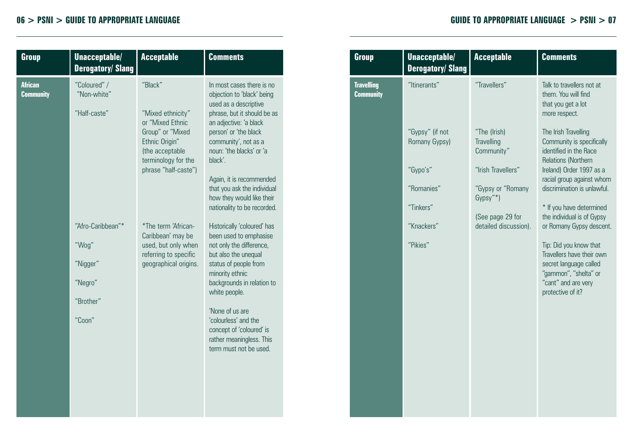| Group                              | Unacceptable/<br><b>Derogatory/Slang</b>                                 | <b>Acceptable</b>                                                                                                                                        | <b>Comments</b>                                                                                                                                                                                                                                                                                                                                          |
|------------------------------------|--------------------------------------------------------------------------|----------------------------------------------------------------------------------------------------------------------------------------------------------|----------------------------------------------------------------------------------------------------------------------------------------------------------------------------------------------------------------------------------------------------------------------------------------------------------------------------------------------------------|
| <b>African</b><br><b>Community</b> | "Coloured" /<br>"Non-white"<br>"Half-caste"                              | "Black"<br>"Mixed ethnicity"<br>or "Mixed Ethnic<br>Group" or "Mixed<br>Ethnic Origin"<br>(the acceptable<br>terminology for the<br>phrase "half-caste") | In most cases there is no<br>objection to 'black' being<br>used as a descriptive<br>phrase, but it should be as<br>an adjective: 'a black<br>person' or 'the black<br>community', not as a<br>noun: 'the blacks' or 'a<br>black'.<br>Again, it is recommended<br>that you ask the individual<br>how they would like their<br>nationality to be recorded. |
|                                    | "Afro-Caribbean"*<br>"Wog"<br>"Nigger"<br>"Negro"<br>"Brother"<br>"Coon" | *The term 'African-<br>Caribbean' may be<br>used, but only when<br>referring to specific<br>geographical origins.                                        | Historically 'coloured' has<br>been used to emphasise<br>not only the difference,<br>but also the unequal<br>status of people from<br>minority ethnic<br>backgrounds in relation to<br>white people.<br>'None of us are<br>'colourless' and the<br>concept of 'coloured' is<br>rather meaningless. This<br>term must not be used.                        |

| Group                                 | Unacceptable/<br><b>Derogatory/Slang</b>     | <b>Acceptable</b>                                                          | <b>Comments</b>                                                                                                                                                     |
|---------------------------------------|----------------------------------------------|----------------------------------------------------------------------------|---------------------------------------------------------------------------------------------------------------------------------------------------------------------|
| <b>Travelling</b><br><b>Community</b> | "Itinerants"                                 | "Travellers"                                                               | Talk to travellers not at<br>them. You will find<br>that you get a lot<br>more respect.                                                                             |
|                                       | "Gypsy" (if not<br>Romany Gypsy)<br>"Gypo's" | "The (Irish)<br>Travelling<br>Community"<br>"Irish Travellers"             | The Irish Travelling<br>Community is specifically<br>identified in the Race<br><b>Relations (Northern)</b><br>Ireland) Order 1997 as a<br>racial group against whom |
|                                       | "Romanies"<br>"Tinkers"<br>"Knackers"        | "Gypsy or "Romany<br>Gypsy"*)<br>(See page 29 for<br>detailed discussion). | discrimination is unlawful.<br>* If you have determined<br>the individual is of Gypsy<br>or Romany Gypsy descent.                                                   |
|                                       | "Pikies"                                     |                                                                            | Tip: Did you know that<br>Travellers have their own<br>secret language called<br>"gammon", "shelta" or<br>"cant" and are very<br>protective of it?                  |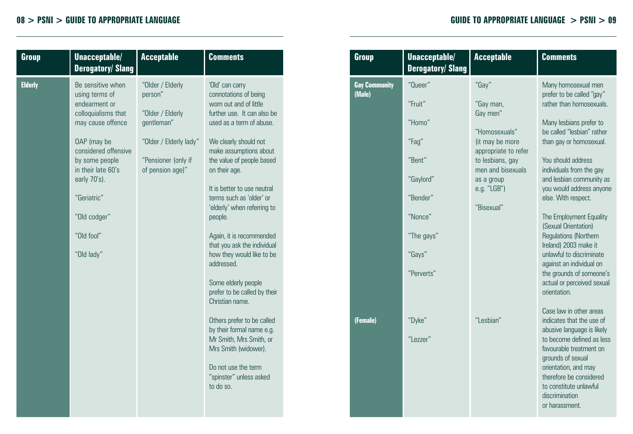| Group          | Unacceptable/<br><b>Derogatory/Slang</b>                                                                                                                                                                                                                   | <b>Acceptable</b>                                                                                                                  | <b>Comments</b>                                                                                                                                                                                                                                                                                                                                                                                                                                                                                                                                                                                                                                                                                 |
|----------------|------------------------------------------------------------------------------------------------------------------------------------------------------------------------------------------------------------------------------------------------------------|------------------------------------------------------------------------------------------------------------------------------------|-------------------------------------------------------------------------------------------------------------------------------------------------------------------------------------------------------------------------------------------------------------------------------------------------------------------------------------------------------------------------------------------------------------------------------------------------------------------------------------------------------------------------------------------------------------------------------------------------------------------------------------------------------------------------------------------------|
| <b>Elderly</b> | Be sensitive when<br>using terms of<br>endearment or<br>colloquialisms that<br>may cause offence<br>OAP (may be<br>considered offensive<br>by some people<br>in their late 60's<br>early 70's).<br>"Geriatric"<br>"Old codger"<br>"Old fool"<br>"Old lady" | "Older / Elderly<br>person"<br>"Older / Elderly<br>aentleman"<br>"Older / Elderly lady"<br>"Pensioner (only if<br>of pension age)" | 'Old' can carry<br>connotations of being<br>worn out and of little<br>further use. It can also be<br>used as a term of abuse.<br>We clearly should not<br>make assumptions about<br>the value of people based<br>on their age.<br>It is better to use neutral<br>terms such as 'older' or<br>'elderly' when referring to<br>people.<br>Again, it is recommended<br>that you ask the individual<br>how they would like to be<br>addressed.<br>Some elderly people<br>prefer to be called by their<br>Christian name<br>Others prefer to be called<br>by their formal name e.g.<br>Mr Smith, Mrs Smith, or<br>Mrs Smith (widower).<br>Do not use the term<br>"spinster" unless asked<br>to do so. |
|                |                                                                                                                                                                                                                                                            |                                                                                                                                    |                                                                                                                                                                                                                                                                                                                                                                                                                                                                                                                                                                                                                                                                                                 |

| Group                          | Unacceptable/<br><b>Derogatory/Slang</b>                                                                                  | <b>Acceptable</b>                                                                                                                                                              | <b>Comments</b>                                                                                                                                                                                                                                                                                                                                                                                                                                                                                                                                 |
|--------------------------------|---------------------------------------------------------------------------------------------------------------------------|--------------------------------------------------------------------------------------------------------------------------------------------------------------------------------|-------------------------------------------------------------------------------------------------------------------------------------------------------------------------------------------------------------------------------------------------------------------------------------------------------------------------------------------------------------------------------------------------------------------------------------------------------------------------------------------------------------------------------------------------|
| <b>Gay Community</b><br>(Male) | "Oueer"<br>"Fruit"<br>"Homo"<br>"Fag"<br>"Rent"<br>"Gaylord"<br>"Bender"<br>"Nonce"<br>"The gays"<br>"Gays"<br>"Perverts" | "Gay"<br>"Gay man,<br>Gay men"<br>"Homosexuals"<br>(it may be more<br>appropriate to refer<br>to lesbians, gay<br>men and bisexuals<br>as a group<br>e.g. "LGB")<br>"Risexual" | Many homosexual men<br>prefer to be called "gay"<br>rather than homosexuals.<br>Many lesbians prefer to<br>be called "lesbian" rather<br>than gay or homosexual.<br>You should address<br>individuals from the gay<br>and lesbian community as<br>you would address anyone<br>else. With respect.<br>The Employment Equality<br>(Sexual Orientation)<br><b>Regulations (Northern</b><br>Ireland) 2003 make it<br>unlawful to discriminate<br>against an individual on<br>the grounds of someone's<br>actual or perceived sexual<br>orientation. |
| (Female)                       | "Dyke"<br>"I ezzer"                                                                                                       | "I esbian"                                                                                                                                                                     | Case law in other areas<br>indicates that the use of<br>abusive language is likely<br>to become defined as less<br>favourable treatment on<br>grounds of sexual<br>orientation, and may<br>therefore be considered<br>to constitute unlawful<br>discrimination<br>or harassment.                                                                                                                                                                                                                                                                |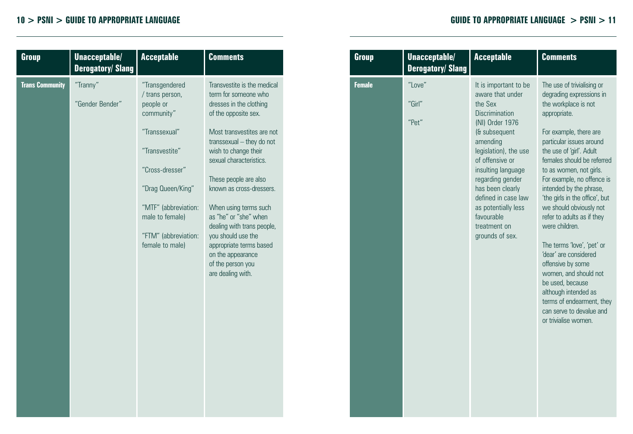| Group                  | Unacceptable/<br><b>Derogatory/Slang</b> | <b>Acceptable</b>                                                                                                                                                                                                             | <b>Comments</b>                                                                                                                                                                                                                                                                                                                                                                                                                                                           |  |
|------------------------|------------------------------------------|-------------------------------------------------------------------------------------------------------------------------------------------------------------------------------------------------------------------------------|---------------------------------------------------------------------------------------------------------------------------------------------------------------------------------------------------------------------------------------------------------------------------------------------------------------------------------------------------------------------------------------------------------------------------------------------------------------------------|--|
| <b>Trans Community</b> | "Tranny"<br>"Gender Bender"              | "Transgendered<br>/ trans person,<br>people or<br>community"<br>"Transsexual"<br>"Transvestite"<br>"Cross-dresser"<br>"Drag Queen/King"<br>"MTF" (abbreviation:<br>male to female)<br>"FTM" (abbreviation:<br>female to male) | Transvestite is the medical<br>term for someone who<br>dresses in the clothing<br>of the opposite sex.<br>Most transvestites are not<br>transsexual - they do not<br>wish to change their<br>sexual characteristics.<br>These people are also<br>known as cross-dressers.<br>When using terms such<br>as "he" or "she" when<br>dealing with trans people,<br>you should use the<br>appropriate terms based<br>on the appearance<br>of the person you<br>are dealing with. |  |

| Group         | Unacceptable/<br><b>Derogatory/Slang</b> | <b>Acceptable</b>                                                                                                                                                                                                                                                                                                               | <b>Comments</b>                                                                                                                                                                                                                                                                                                                                                                                                                                                                                                                                                                                                                                   |
|---------------|------------------------------------------|---------------------------------------------------------------------------------------------------------------------------------------------------------------------------------------------------------------------------------------------------------------------------------------------------------------------------------|---------------------------------------------------------------------------------------------------------------------------------------------------------------------------------------------------------------------------------------------------------------------------------------------------------------------------------------------------------------------------------------------------------------------------------------------------------------------------------------------------------------------------------------------------------------------------------------------------------------------------------------------------|
| <b>Female</b> | "I ove"<br>"Girl"<br>"Pet"               | It is important to be<br>aware that under<br>the Sex<br>Discrimination<br>(NI) Order 1976<br>(& subsequent<br>amending<br>legislation), the use<br>of offensive or<br>insulting language<br>regarding gender<br>has been clearly<br>defined in case law<br>as potentially less<br>favourable<br>treatment on<br>grounds of sex. | The use of trivialising or<br>degrading expressions in<br>the workplace is not<br>appropriate.<br>For example, there are<br>particular issues around<br>the use of 'girl'. Adult<br>females should be referred<br>to as women, not girls.<br>For example, no offence is<br>intended by the phrase,<br>'the girls in the office', but<br>we should obviously not<br>refer to adults as if they<br>were children.<br>The terms 'love', 'pet' or<br>'dear' are considered<br>offensive by some<br>women, and should not<br>be used, because<br>although intended as<br>terms of endearment, they<br>can serve to devalue and<br>or trivialise women. |